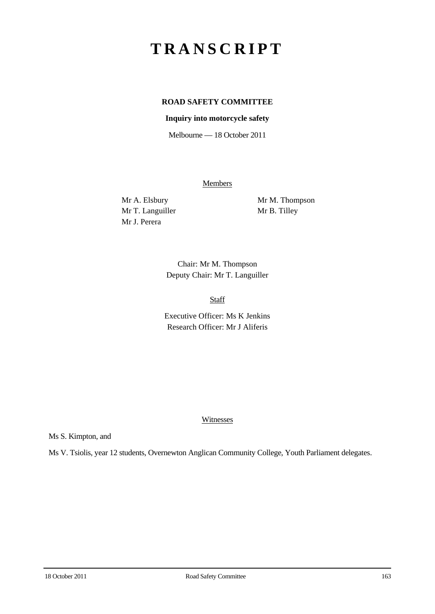# **TRANSCRIPT**

## **ROAD SAFETY COMMITTEE**

## **Inquiry into motorcycle safety**

Melbourne — 18 October 2011

**Members** 

Mr T. Languiller Mr B. Tilley Mr J. Perera

Mr A. Elsbury Mr M. Thompson

Chair: Mr M. Thompson Deputy Chair: Mr T. Languiller

Staff

Executive Officer: Ms K Jenkins Research Officer: Mr J Aliferis

#### Witnesses

Ms S. Kimpton, and

Ms V. Tsiolis, year 12 students, Overnewton Anglican Community College, Youth Parliament delegates.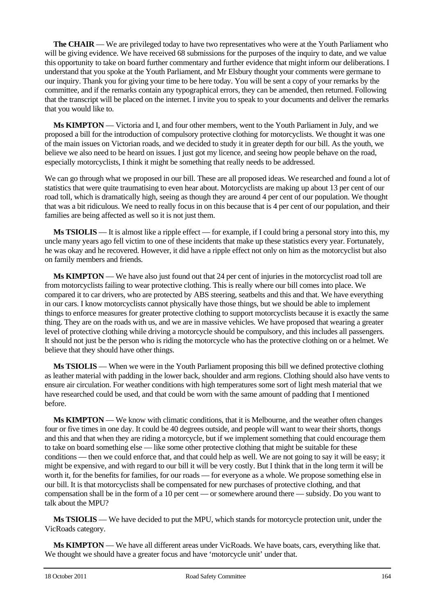**The CHAIR** — We are privileged today to have two representatives who were at the Youth Parliament who will be giving evidence. We have received 68 submissions for the purposes of the inquiry to date, and we value this opportunity to take on board further commentary and further evidence that might inform our deliberations. I understand that you spoke at the Youth Parliament, and Mr Elsbury thought your comments were germane to our inquiry. Thank you for giving your time to be here today. You will be sent a copy of your remarks by the committee, and if the remarks contain any typographical errors, they can be amended, then returned. Following that the transcript will be placed on the internet. I invite you to speak to your documents and deliver the remarks that you would like to.

**Ms KIMPTON** — Victoria and I, and four other members, went to the Youth Parliament in July, and we proposed a bill for the introduction of compulsory protective clothing for motorcyclists. We thought it was one of the main issues on Victorian roads, and we decided to study it in greater depth for our bill. As the youth, we believe we also need to be heard on issues. I just got my licence, and seeing how people behave on the road, especially motorcyclists, I think it might be something that really needs to be addressed.

We can go through what we proposed in our bill. These are all proposed ideas. We researched and found a lot of statistics that were quite traumatising to even hear about. Motorcyclists are making up about 13 per cent of our road toll, which is dramatically high, seeing as though they are around 4 per cent of our population. We thought that was a bit ridiculous. We need to really focus in on this because that is 4 per cent of our population, and their families are being affected as well so it is not just them.

**Ms TSIOLIS** — It is almost like a ripple effect — for example, if I could bring a personal story into this, my uncle many years ago fell victim to one of these incidents that make up these statistics every year. Fortunately, he was okay and he recovered. However, it did have a ripple effect not only on him as the motorcyclist but also on family members and friends.

**Ms KIMPTON** — We have also just found out that 24 per cent of injuries in the motorcyclist road toll are from motorcyclists failing to wear protective clothing. This is really where our bill comes into place. We compared it to car drivers, who are protected by ABS steering, seatbelts and this and that. We have everything in our cars. I know motorcyclists cannot physically have those things, but we should be able to implement things to enforce measures for greater protective clothing to support motorcyclists because it is exactly the same thing. They are on the roads with us, and we are in massive vehicles. We have proposed that wearing a greater level of protective clothing while driving a motorcycle should be compulsory, and this includes all passengers. It should not just be the person who is riding the motorcycle who has the protective clothing on or a helmet. We believe that they should have other things.

**Ms TSIOLIS** — When we were in the Youth Parliament proposing this bill we defined protective clothing as leather material with padding in the lower back, shoulder and arm regions. Clothing should also have vents to ensure air circulation. For weather conditions with high temperatures some sort of light mesh material that we have researched could be used, and that could be worn with the same amount of padding that I mentioned before.

**Ms KIMPTON** — We know with climatic conditions, that it is Melbourne, and the weather often changes four or five times in one day. It could be 40 degrees outside, and people will want to wear their shorts, thongs and this and that when they are riding a motorcycle, but if we implement something that could encourage them to take on board something else — like some other protective clothing that might be suitable for these conditions — then we could enforce that, and that could help as well. We are not going to say it will be easy; it might be expensive, and with regard to our bill it will be very costly. But I think that in the long term it will be worth it, for the benefits for families, for our roads — for everyone as a whole. We propose something else in our bill. It is that motorcyclists shall be compensated for new purchases of protective clothing, and that compensation shall be in the form of a 10 per cent — or somewhere around there — subsidy. Do you want to talk about the MPU?

**Ms TSIOLIS** — We have decided to put the MPU, which stands for motorcycle protection unit, under the VicRoads category.

**Ms KIMPTON** — We have all different areas under VicRoads. We have boats, cars, everything like that. We thought we should have a greater focus and have 'motorcycle unit' under that.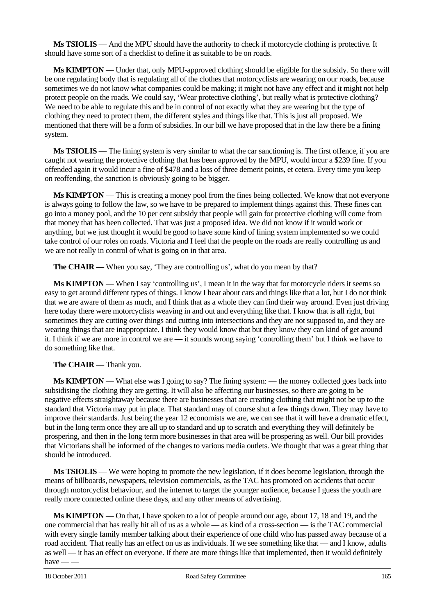**Ms TSIOLIS** — And the MPU should have the authority to check if motorcycle clothing is protective. It should have some sort of a checklist to define it as suitable to be on roads.

**Ms KIMPTON** — Under that, only MPU-approved clothing should be eligible for the subsidy. So there will be one regulating body that is regulating all of the clothes that motorcyclists are wearing on our roads, because sometimes we do not know what companies could be making; it might not have any effect and it might not help protect people on the roads. We could say, 'Wear protective clothing', but really what is protective clothing? We need to be able to regulate this and be in control of not exactly what they are wearing but the type of clothing they need to protect them, the different styles and things like that. This is just all proposed. We mentioned that there will be a form of subsidies. In our bill we have proposed that in the law there be a fining system.

**Ms TSIOLIS** — The fining system is very similar to what the car sanctioning is. The first offence, if you are caught not wearing the protective clothing that has been approved by the MPU, would incur a \$239 fine. If you offended again it would incur a fine of \$478 and a loss of three demerit points, et cetera. Every time you keep on reoffending, the sanction is obviously going to be bigger.

**Ms KIMPTON** — This is creating a money pool from the fines being collected. We know that not everyone is always going to follow the law, so we have to be prepared to implement things against this. These fines can go into a money pool, and the 10 per cent subsidy that people will gain for protective clothing will come from that money that has been collected. That was just a proposed idea. We did not know if it would work or anything, but we just thought it would be good to have some kind of fining system implemented so we could take control of our roles on roads. Victoria and I feel that the people on the roads are really controlling us and we are not really in control of what is going on in that area.

**The CHAIR** — When you say, 'They are controlling us', what do you mean by that?

**Ms KIMPTON** — When I say 'controlling us', I mean it in the way that for motorcycle riders it seems so easy to get around different types of things. I know I hear about cars and things like that a lot, but I do not think that we are aware of them as much, and I think that as a whole they can find their way around. Even just driving here today there were motorcyclists weaving in and out and everything like that. I know that is all right, but sometimes they are cutting over things and cutting into intersections and they are not supposed to, and they are wearing things that are inappropriate. I think they would know that but they know they can kind of get around it. I think if we are more in control we are — it sounds wrong saying 'controlling them' but I think we have to do something like that.

## **The CHAIR** — Thank you.

**Ms KIMPTON** — What else was I going to say? The fining system: — the money collected goes back into subsidising the clothing they are getting. It will also be affecting our businesses, so there are going to be negative effects straightaway because there are businesses that are creating clothing that might not be up to the standard that Victoria may put in place. That standard may of course shut a few things down. They may have to improve their standards. Just being the year 12 economists we are, we can see that it will have a dramatic effect, but in the long term once they are all up to standard and up to scratch and everything they will definitely be prospering, and then in the long term more businesses in that area will be prospering as well. Our bill provides that Victorians shall be informed of the changes to various media outlets. We thought that was a great thing that should be introduced.

**Ms TSIOLIS** — We were hoping to promote the new legislation, if it does become legislation, through the means of billboards, newspapers, television commercials, as the TAC has promoted on accidents that occur through motorcyclist behaviour, and the internet to target the younger audience, because I guess the youth are really more connected online these days, and any other means of advertising.

**Ms KIMPTON** — On that, I have spoken to a lot of people around our age, about 17, 18 and 19, and the one commercial that has really hit all of us as a whole — as kind of a cross-section — is the TAC commercial with every single family member talking about their experience of one child who has passed away because of a road accident. That really has an effect on us as individuals. If we see something like that — and I know, adults as well — it has an effect on everyone. If there are more things like that implemented, then it would definitely have  $-\frac{1}{x}$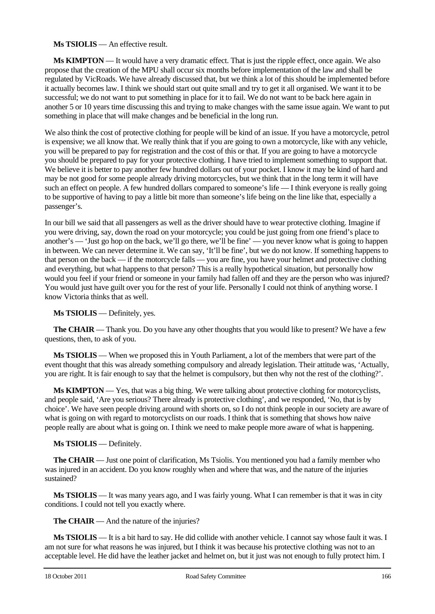## **Ms TSIOLIS** — An effective result.

**Ms KIMPTON** — It would have a very dramatic effect. That is just the ripple effect, once again. We also propose that the creation of the MPU shall occur six months before implementation of the law and shall be regulated by VicRoads. We have already discussed that, but we think a lot of this should be implemented before it actually becomes law. I think we should start out quite small and try to get it all organised. We want it to be successful; we do not want to put something in place for it to fail. We do not want to be back here again in another 5 or 10 years time discussing this and trying to make changes with the same issue again. We want to put something in place that will make changes and be beneficial in the long run.

We also think the cost of protective clothing for people will be kind of an issue. If you have a motorcycle, petrol is expensive; we all know that. We really think that if you are going to own a motorcycle, like with any vehicle, you will be prepared to pay for registration and the cost of this or that. If you are going to have a motorcycle you should be prepared to pay for your protective clothing. I have tried to implement something to support that. We believe it is better to pay another few hundred dollars out of your pocket. I know it may be kind of hard and may be not good for some people already driving motorcycles, but we think that in the long term it will have such an effect on people. A few hundred dollars compared to someone's life — I think everyone is really going to be supportive of having to pay a little bit more than someone's life being on the line like that, especially a passenger's.

In our bill we said that all passengers as well as the driver should have to wear protective clothing. Imagine if you were driving, say, down the road on your motorcycle; you could be just going from one friend's place to another's — 'Just go hop on the back, we'll go there, we'll be fine' — you never know what is going to happen in between. We can never determine it. We can say, 'It'll be fine', but we do not know. If something happens to that person on the back — if the motorcycle falls — you are fine, you have your helmet and protective clothing and everything, but what happens to that person? This is a really hypothetical situation, but personally how would you feel if your friend or someone in your family had fallen off and they are the person who was injured? You would just have guilt over you for the rest of your life. Personally I could not think of anything worse. I know Victoria thinks that as well.

## **Ms TSIOLIS** — Definitely, yes.

**The CHAIR** — Thank you. Do you have any other thoughts that you would like to present? We have a few questions, then, to ask of you.

**Ms TSIOLIS** — When we proposed this in Youth Parliament, a lot of the members that were part of the event thought that this was already something compulsory and already legislation. Their attitude was, 'Actually, you are right. It is fair enough to say that the helmet is compulsory, but then why not the rest of the clothing?'.

**Ms KIMPTON** — Yes, that was a big thing. We were talking about protective clothing for motorcyclists, and people said, 'Are you serious? There already is protective clothing', and we responded, 'No, that is by choice'. We have seen people driving around with shorts on, so I do not think people in our society are aware of what is going on with regard to motorcyclists on our roads. I think that is something that shows how naive people really are about what is going on. I think we need to make people more aware of what is happening.

## **Ms TSIOLIS** — Definitely.

**The CHAIR** — Just one point of clarification, Ms Tsiolis. You mentioned you had a family member who was injured in an accident. Do you know roughly when and where that was, and the nature of the injuries sustained?

**Ms TSIOLIS** — It was many years ago, and I was fairly young. What I can remember is that it was in city conditions. I could not tell you exactly where.

**The CHAIR** — And the nature of the injuries?

**Ms TSIOLIS** — It is a bit hard to say. He did collide with another vehicle. I cannot say whose fault it was. I am not sure for what reasons he was injured, but I think it was because his protective clothing was not to an acceptable level. He did have the leather jacket and helmet on, but it just was not enough to fully protect him. I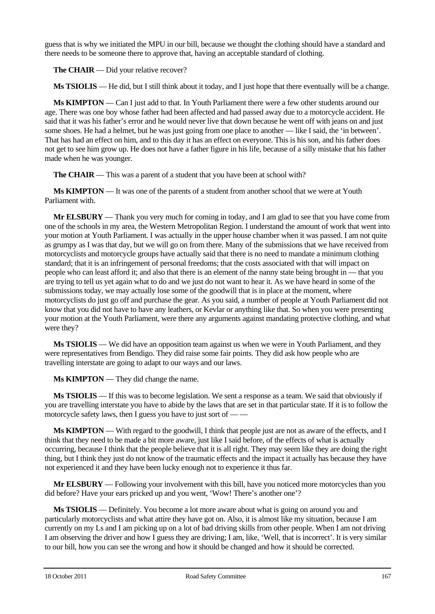guess that is why we initiated the MPU in our bill, because we thought the clothing should have a standard and there needs to be someone there to approve that, having an acceptable standard of clothing.

**The CHAIR** — Did your relative recover?

**Ms TSIOLIS** — He did, but I still think about it today, and I just hope that there eventually will be a change.

**Ms KIMPTON** — Can I just add to that. In Youth Parliament there were a few other students around our age. There was one boy whose father had been affected and had passed away due to a motorcycle accident. He said that it was his father's error and he would never live that down because he went off with jeans on and just some shoes. He had a helmet, but he was just going from one place to another — like I said, the 'in between'. That has had an effect on him, and to this day it has an effect on everyone. This is his son, and his father does not get to see him grow up. He does not have a father figure in his life, because of a silly mistake that his father made when he was younger.

**The CHAIR** — This was a parent of a student that you have been at school with?

**Ms KIMPTON** — It was one of the parents of a student from another school that we were at Youth Parliament with.

**Mr ELSBURY** — Thank you very much for coming in today, and I am glad to see that you have come from one of the schools in my area, the Western Metropolitan Region. I understand the amount of work that went into your motion at Youth Parliament. I was actually in the upper house chamber when it was passed. I am not quite as grumpy as I was that day, but we will go on from there. Many of the submissions that we have received from motorcyclists and motorcycle groups have actually said that there is no need to mandate a minimum clothing standard; that it is an infringement of personal freedoms; that the costs associated with that will impact on people who can least afford it; and also that there is an element of the nanny state being brought in — that you are trying to tell us yet again what to do and we just do not want to hear it. As we have heard in some of the submissions today, we may actually lose some of the goodwill that is in place at the moment, where motorcyclists do just go off and purchase the gear. As you said, a number of people at Youth Parliament did not know that you did not have to have any leathers, or Kevlar or anything like that. So when you were presenting your motion at the Youth Parliament, were there any arguments against mandating protective clothing, and what were they?

**Ms TSIOLIS** — We did have an opposition team against us when we were in Youth Parliament, and they were representatives from Bendigo. They did raise some fair points. They did ask how people who are travelling interstate are going to adapt to our ways and our laws.

**Ms KIMPTON** — They did change the name.

**Ms TSIOLIS** — If this was to become legislation. We sent a response as a team. We said that obviously if you are travelling interstate you have to abide by the laws that are set in that particular state. If it is to follow the motorcycle safety laws, then I guess you have to just sort of  $-\frac{1}{2}$ 

**Ms KIMPTON** — With regard to the goodwill, I think that people just are not as aware of the effects, and I think that they need to be made a bit more aware, just like I said before, of the effects of what is actually occurring, because I think that the people believe that it is all right. They may seem like they are doing the right thing, but I think they just do not know of the traumatic effects and the impact it actually has because they have not experienced it and they have been lucky enough not to experience it thus far.

**Mr ELSBURY** — Following your involvement with this bill, have you noticed more motorcycles than you did before? Have your ears pricked up and you went, 'Wow! There's another one'?

**Ms TSIOLIS** — Definitely. You become a lot more aware about what is going on around you and particularly motorcyclists and what attire they have got on. Also, it is almost like my situation, because I am currently on my Ls and I am picking up on a lot of bad driving skills from other people. When I am not driving I am observing the driver and how I guess they are driving; I am, like, 'Well, that is incorrect'. It is very similar to our bill, how you can see the wrong and how it should be changed and how it should be corrected.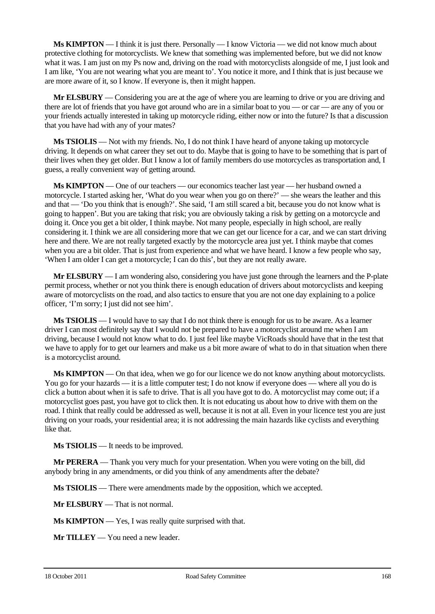**Ms KIMPTON** — I think it is just there. Personally — I know Victoria — we did not know much about protective clothing for motorcyclists. We knew that something was implemented before, but we did not know what it was. I am just on my Ps now and, driving on the road with motorcyclists alongside of me. I just look and I am like, 'You are not wearing what you are meant to'. You notice it more, and I think that is just because we are more aware of it, so I know. If everyone is, then it might happen.

**Mr ELSBURY** — Considering you are at the age of where you are learning to drive or you are driving and there are lot of friends that you have got around who are in a similar boat to you — or car — are any of you or your friends actually interested in taking up motorcycle riding, either now or into the future? Is that a discussion that you have had with any of your mates?

**Ms TSIOLIS** — Not with my friends. No, I do not think I have heard of anyone taking up motorcycle driving. It depends on what career they set out to do. Maybe that is going to have to be something that is part of their lives when they get older. But I know a lot of family members do use motorcycles as transportation and, I guess, a really convenient way of getting around.

**Ms KIMPTON** — One of our teachers — our economics teacher last year — her husband owned a motorcycle. I started asking her, 'What do you wear when you go on there?' — she wears the leather and this and that — 'Do you think that is enough?'. She said, 'I am still scared a bit, because you do not know what is going to happen'. But you are taking that risk; you are obviously taking a risk by getting on a motorcycle and doing it. Once you get a bit older, I think maybe. Not many people, especially in high school, are really considering it. I think we are all considering more that we can get our licence for a car, and we can start driving here and there. We are not really targeted exactly by the motorcycle area just yet. I think maybe that comes when you are a bit older. That is just from experience and what we have heard. I know a few people who say, 'When I am older I can get a motorcycle; I can do this', but they are not really aware.

**Mr ELSBURY** — I am wondering also, considering you have just gone through the learners and the P-plate permit process, whether or not you think there is enough education of drivers about motorcyclists and keeping aware of motorcyclists on the road, and also tactics to ensure that you are not one day explaining to a police officer, 'I'm sorry; I just did not see him'.

**Ms TSIOLIS** — I would have to say that I do not think there is enough for us to be aware. As a learner driver I can most definitely say that I would not be prepared to have a motorcyclist around me when I am driving, because I would not know what to do. I just feel like maybe VicRoads should have that in the test that we have to apply for to get our learners and make us a bit more aware of what to do in that situation when there is a motorcyclist around.

**Ms KIMPTON** — On that idea, when we go for our licence we do not know anything about motorcyclists. You go for your hazards — it is a little computer test; I do not know if everyone does — where all you do is click a button about when it is safe to drive. That is all you have got to do. A motorcyclist may come out; if a motorcyclist goes past, you have got to click then. It is not educating us about how to drive with them on the road. I think that really could be addressed as well, because it is not at all. Even in your licence test you are just driving on your roads, your residential area; it is not addressing the main hazards like cyclists and everything like that.

**Ms TSIOLIS** — It needs to be improved.

**Mr PERERA** — Thank you very much for your presentation. When you were voting on the bill, did anybody bring in any amendments, or did you think of any amendments after the debate?

**Ms TSIOLIS** — There were amendments made by the opposition, which we accepted.

**Mr ELSBURY** — That is not normal.

**Ms KIMPTON** — Yes, I was really quite surprised with that.

**Mr TILLEY** — You need a new leader.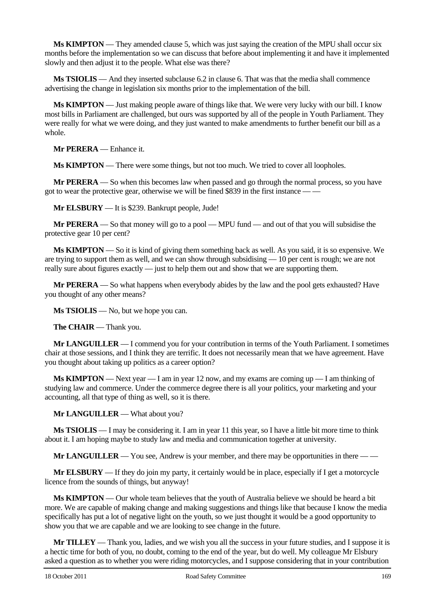**Ms KIMPTON** — They amended clause 5, which was just saying the creation of the MPU shall occur six months before the implementation so we can discuss that before about implementing it and have it implemented slowly and then adjust it to the people. What else was there?

**Ms TSIOLIS** — And they inserted subclause 6.2 in clause 6. That was that the media shall commence advertising the change in legislation six months prior to the implementation of the bill.

**Ms KIMPTON** — Just making people aware of things like that. We were very lucky with our bill. I know most bills in Parliament are challenged, but ours was supported by all of the people in Youth Parliament. They were really for what we were doing, and they just wanted to make amendments to further benefit our bill as a whole.

**Mr PERERA** — Enhance it.

**Ms KIMPTON** — There were some things, but not too much. We tried to cover all loopholes.

**Mr PERERA** — So when this becomes law when passed and go through the normal process, so you have got to wear the protective gear, otherwise we will be fined \$839 in the first instance — —

**Mr ELSBURY** — It is \$239. Bankrupt people, Jude!

**Mr PERERA** — So that money will go to a pool — MPU fund — and out of that you will subsidise the protective gear 10 per cent?

**Ms KIMPTON** — So it is kind of giving them something back as well. As you said, it is so expensive. We are trying to support them as well, and we can show through subsidising — 10 per cent is rough; we are not really sure about figures exactly — just to help them out and show that we are supporting them.

**Mr PERERA** — So what happens when everybody abides by the law and the pool gets exhausted? Have you thought of any other means?

**Ms TSIOLIS** — No, but we hope you can.

**The CHAIR** — Thank you.

**Mr LANGUILLER** — I commend you for your contribution in terms of the Youth Parliament. I sometimes chair at those sessions, and I think they are terrific. It does not necessarily mean that we have agreement. Have you thought about taking up politics as a career option?

**Ms KIMPTON** — Next year — I am in year 12 now, and my exams are coming up — I am thinking of studying law and commerce. Under the commerce degree there is all your politics, your marketing and your accounting, all that type of thing as well, so it is there.

**Mr LANGUILLER** — What about you?

**Ms TSIOLIS** — I may be considering it. I am in year 11 this year, so I have a little bit more time to think about it. I am hoping maybe to study law and media and communication together at university.

**Mr LANGUILLER** — You see, Andrew is your member, and there may be opportunities in there — —

**Mr ELSBURY** — If they do join my party, it certainly would be in place, especially if I get a motorcycle licence from the sounds of things, but anyway!

**Ms KIMPTON** — Our whole team believes that the youth of Australia believe we should be heard a bit more. We are capable of making change and making suggestions and things like that because I know the media specifically has put a lot of negative light on the youth, so we just thought it would be a good opportunity to show you that we are capable and we are looking to see change in the future.

**Mr TILLEY** — Thank you, ladies, and we wish you all the success in your future studies, and I suppose it is a hectic time for both of you, no doubt, coming to the end of the year, but do well. My colleague Mr Elsbury asked a question as to whether you were riding motorcycles, and I suppose considering that in your contribution